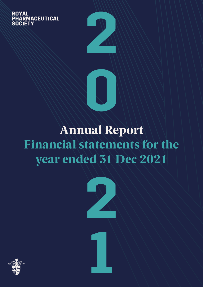**ROYAL PHARMACEUTICAL** SOCIET



**0**

**22** 



**1**

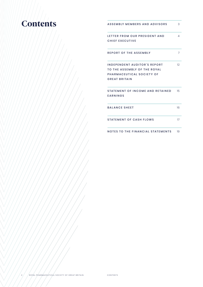# **Contents**

| ASSEMBLY MEMBERS AND ADVISORS                                                                                            | 3  |
|--------------------------------------------------------------------------------------------------------------------------|----|
| LETTER FROM OUR PRESIDENT AND<br><b>CHIEF EXECUTIVE</b>                                                                  | 4  |
| <b>REPORT OF THE ASSEMBLY</b>                                                                                            | 7  |
| <b>INDEPENDENT AUDITOR'S REPORT</b><br>TO THE ASSEMBLY OF THE ROYAL<br>PHARMACEUTICAL SOCIETY OF<br><b>GREAT BRITAIN</b> | 12 |
| STATEMENT OF INCOME AND RETAINED<br><b>FARNINGS</b>                                                                      | 15 |
| <b>BALANCE SHEET</b>                                                                                                     | 16 |
| <b>STATEMENT OF CASH FLOWS</b>                                                                                           | 17 |
| NOTES TO THE FINANCIAL STATEMENTS                                                                                        | 19 |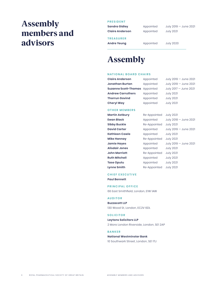### Assembly members and advisors

### **PRESIDENT**

**Sandra Gidley Claire Anderson** Appointed Appointed July 2019 — June 2021 July 2021

#### **TREASURER**

**Andre Yeung**

Appointed

July 2020

### Assembly

### **NATIONAL BOARD CHAIRS**

| <b>Claire Anderson</b>                | Appointed | July 2019 - June 2021 |
|---------------------------------------|-----------|-----------------------|
| Jonathan Burton                       | Appointed | July 2019 - June 2021 |
| <b>Suzanne Scott-Thomas</b> Appointed |           | July 2017 - June 2021 |
| <b>Andrew Carruthers</b>              | Appointed | <b>July 2021</b>      |
| <b>Thorrun Govind</b>                 | Appointed | <b>July 2021</b>      |
| <b>Cheryl Way</b>                     | Appointed | <b>July 2021</b>      |

#### **OTHER MEMBERS**

| <b>Martin Astbury</b> | Re-Appointed | <b>July 2021</b>      |
|-----------------------|--------------|-----------------------|
| <b>Ewan Black</b>     | Appointed    | July 2018 - June 2021 |
| Sibby Buckle          | Re-Appointed | <b>July 2021</b>      |
| <b>David Carter</b>   | Appointed    | July 2019 - June 2021 |
| Kathleen Cowle        | Appointed    | <b>July 2021</b>      |
| Mike Hannay           | Re-Appointed | <b>July 2021</b>      |
| Jamie Hayes           | Appointed    | July 2019 - June 2021 |
| Alisdair Jones        | Appointed    | <b>July 2021</b>      |
| <b>John Marriott</b>  | Re-Appointed | <b>July 2021</b>      |
| <b>Ruth Mitchell</b>  | Appointed    | <b>July 2021</b>      |
| Tase Oputu            | Appointed    | <b>July 2021</b>      |
| Lynne Smith           | Re-Appointed | <b>July 2021</b>      |

### **CHIEF EXECUTIVE**

**Paul Bennett** 

### **PRINCIPAL OFFICE**

66 East Smithfield, London, E1W 1AW

#### **AUDITOR**

**Buzzacott LLP** 130 Wood St, London, EC2V 6DL

### **SOLICITOR**

**Laytons Solicitors LLP** 2 More London Riverside, London, SE1 2AP

### **BANKER**

**National Westminster Bank**  10 Southwark Street, London, SE1 1TJ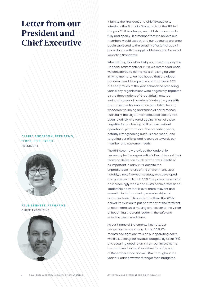### Letter from our President and Chief Executive

**C L A I R E A N D E R S O N , F R P H A R M S , FFRPS, FFIP, FRSPH PRESIDENT** 



**PAUL BENNETT, FRPHARMS** CHIEF EXECUTIVE



It falls to the President and Chief Executive to introduce the Financial Statements of the RPS for the year 2021. As always, we publish our accounts fully and openly, in a manner that we believe our members would expect, and our accounts are once again subjected to the scrutiny of external audit in accordance with the applicable laws and Financial Reporting Standards.

When writing this letter last year, to accompany the Financial Statements for 2020, we referenced what we considered to be the most challenging year in living memory. We had hoped that the global pandemic and its impact would improve in 2021 but sadly much of the year echoed the preceding year. Many organisations were negatively impacted as the three nations of Great Britain entered various degrees of 'lockdown' during the year with the consequential impact on population health, workforce wellbeing and financial performance. Thankfully, the Royal Pharmaceutical Society has been relatively sheltered against most of these negative forces, having built a more resilient operational platform over the preceding years, notably strengthening our business model, and targeting our efforts and resources towards our member and customer needs.

The RPS Assembly provided the leadership necessary for the organisation's Executive and their teams to deliver on much of what was identified as important in early 2021, despite the unpredictable nature of the environment. Most notably, a new five-year strategy was developed and published in March 2021. This paves the way for an increasingly viable and sustainable professional leadership body that is ever more relevant and essential to its broadening membership and customer base. Ultimately this allows the RPS to deliver its mission to put pharmacy at the forefront of healthcare while moving ever closer to the vision of becoming the world leader in the safe and effective use of medicines.

As our Financial Statements illustrate, our performance was strong during 2021. We maintained tight controls on our operating costs while exceeding our revenue budgets by £1.2m (5%) and securing good returns from our investments: the combined value of investments at the end of December stood above £10m. Throughout the year our cash flow was stronger than budgeted.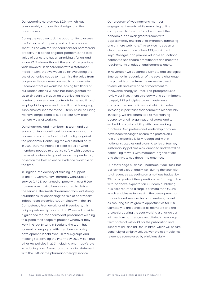Our operating surplus was £0.9m which was considerably stronger than budget and the previous year.

During the year, we took the opportunity to assess the fair value of property held on the balance sheet. In line with market conditions for commercial property in a period of global pandemic, the total value of our estate has unsurprisingly fallen, and is now £3.2m lower than at the end of the previous year. However, in accordance with a statement made in April, that we would be re-evaluating the use of our office space to maximise the value from our properties, we were pleased to announce in December that we would be leasing two floors of our London offices. A lease has been granted for up to six years to Ingeus, an organisation with a number of government contracts in the health and employability space, and this will provide ongoing supplemental income to the RPS whilst still ensuring we have ample room to support our new, often remote, ways of working.

Our pharmacy and membership team and our education team continued to focus on supporting our members at the forefront of the fight against the pandemic. Continuing the work started early in 2020, they maintained a clear focus on what members needed to practise safely, with access to the most up-to-date guidelines on the pandemic, based on the best scientific evidence available at the time.

In England, the delivery of training in support of the NHS Community Pharmacy Consultation Service (CPCS) continued at pace with over 5,000 trainees now having been supported to deliver the service. The Welsh Government has laid strong foundations for enhancing the role of pharmacist independent prescribers. Combined with the RPS Competency Framework for all Prescribers, this unique partnership approach in Wales will provide a guidance tool for pharmacist prescribers wishing to expand their scope of practice wherever they work in Great Britain. In Scotland the team has focused on engaging with members on policy development. It held over 100 focus groups and meetings to develop the Pharmacy 2030 vision and other key policies in 2021 including pharmacy's role in reducing harm from drugs and a joint statement with the BMA on the pharmacotherapy service.

Our program of webinars and member engagement events, while remaining online as opposed to face-to-face because of the pandemic, had even greater reach with approximately one fifth of all members attending one or more webinars. This service has been a clear demonstration of how RPS, working with Royal Colleges, can provide valuable educational content to healthcare practitioners and meet the requirements of educational commissioners.

In November, we declared a Climate and Ecological Emergency in recognition of the severe challenge the planet is under from the excessive use of fossil fuels and slow pace of movement to renewable energy sources. This prompted us to review our investment strategy with a commitment to apply ESG principles to our investments and procurement policies and which includes investing in portfolios that commit to responsible investing. We are committed to maintaining a zero-to-landfill organisational status and to embedding sustainability within our working practices. As a professional leadership body we have been working to ensure the profession's role and expertise is fully recognised within national strategies and plans. A series of four key sustainability policies was launched and we will be continuing to work with members, organisations and the NHS to see these implemented.

Our knowledge business, Pharmaceutical Press, has performed exceptionally well during the year with total revenues exceeding an ambitious budget by 7% and all parts of the operations performing in line with, or above, expectation. Our core publishing business returned a surplus of more than £2.4m which enables us to invest in the development of products and services for our members, as well as securing future growth opportunities for RPS, ultimately to the benefit of all members and the profession. During the year, working alongside our joint venture partners, we negotiated a new longterm contract with NICE for the publication and supply of BNF and BNF for Children, which will ensure continuity of a highly valued, world-class medicines reference source used by clinicians daily.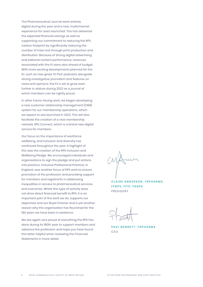The Pharmaceutical Journal went entirely digital during the year and a new, multichannel experience for users launched. This has delivered the expected financial savings as well as supporting our commitment to reducing the RPS carbon footprint by significantly reducing the number of trees lost through print production and distribution. Because of strong digital advertising and editorial content performance, revenues associated with the PJ were also ahead of budget. With more exciting developments planned for the PJ, such as new great 'PJ Pod' podcasts alongside strong investigative journalism and features on news and opinions, the PJ is set to grow even further in stature during 2022 as a journal of which members can be rightly proud.

In other future-facing work, we began developing a new customer relationship management (CRM) system for our membership operations, which we expect to see launched in 2022. This will also facilitate the creation of a new membership network, RPS Connect, which is a brand new digital service for members.

Our focus on the importance of workforce wellbeing, and inclusion and diversity has continued throughout the year. A highlight of this was the creation of the RPS Inclusion and Wellbeing Pledge. We encouraged individuals and organisations to sign the pledge and put actions into practice. Inclusive Professional Practice, in England, was another focus of RPS work to ensure promotion of the profession and providing support for members and registrants in addressing inequalities in access to pharmaceutical services and outcomes. Whilst this type of activity does not drive direct financial benefit to RPS, it is an important part of the work we do, supports our objectives and our Royal Charter and is yet another reason why this organisation has flourished for the 180 years we have been in existence.

We are again very proud of everything the RPS has done during its 180th year to support members and advance the profession and hope you have found this letter helpful when reviewing the Financial Statements in more detail.

**CLAIRE ANDERSON, FRPHARMS. FFRPS, FFIP, FRSPH PRESIDENT** 

**PAUL BENNETT, FRPHARMS** C EO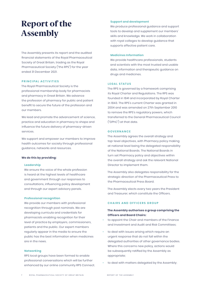# Report of the Assembly

The Assembly presents its report and the audited financial statements of the Royal Pharmaceutical Society of Great Britain, trading as the Royal Pharmaceutical Society ("the RPS") for the year ended 31 December 2021.

#### **PRINCIPAL ACTIVITIES**

The Royal Pharmaceutical Society is the professional membership body for pharmacists and pharmacy in Great Britain. We advance the profession of pharmacy for public and patient benefit to secure the future of the profession and our members.

We lead and promote the advancement of science, practice and education in pharmacy to shape and influence the future delivery of pharmacy-driven services.

We support and empower our members to improve health outcomes for society through professional guidance, networks and resources.

#### **We do this by providing:**

#### **Leadership**

We ensure the voice of the whole profession is heard at the highest levels of healthcare and government through our responses to consultations, influencing policy development and through our expert advisory panels.

#### **Professional recognition**

We provide our members with professional recognition through post nominals. We are developing curricula and credentials for pharmacists enabling recognition for their level of practice by employers, commissioners, patients and the public. Our expert members regularly appear in the media to ensure the public has the best information when medicines are in the news.

#### **Networking**

RPS local groups have been formed to enable professional conversations which will be further enhanced by our online community RPS Connect.

#### **Support and development**

We produce professional guidance and support tools to develop and supplement our members' skills and knowledge. We work in collaboration with royal colleges to develop guidance that supports effective patient care.

#### **Medicines Information**

We provide healthcare professionals, students and scientists with the most trusted and usable data, information and therapeutic guidance on drugs and medicines.

### **LEGAL STATUS**

The RPS is governed by a framework comprising its Royal Charter and Regulations. The RPS was founded in 1841 and incorporated by Royal Charter in 1843. The RPS's current Charter was granted in 2004 and was amended on 27th September 2010 to remove the RPS's regulatory powers, which transferred to the General Pharmaceutical Council ("GPhC") at that date.

#### **GOVERNANCE**

The Assembly agrees the overall strategy and top-level objectives, with Pharmacy policy making at national level being the delegated responsibility of the National Boards. The National Boards in turn set Pharmacy policy and objectives within the overall strategy and ask the relevant National Director to implement them.

The Assembly also delegates responsibility for the strategic direction of the Pharmaceutical Press to the Pharmaceutical Press Board.

The Assembly elects every two years the President and Treasurer, which constitute the Officers.

### **CHAIRS AND OFFICERS GROUP**

### **The Assembly authorises a group comprising the Officers and Board Chairs:**

- to appoint the Chair and members of the Finance and Investment and Audit and Risk Committees;
- to deal with issues arising which require an urgent response that do not fall within the delegated authorities of other governance bodies. Where this concerns new policy, actions would be subsequently ratified by the Assembly as appropriate;
- to deal with matters delegated by the Assembly;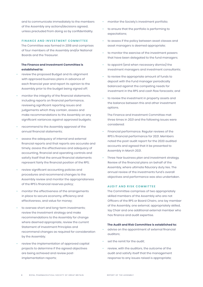and to communicate immediately to the members of the Assembly any actions/decisions agreed, unless precluded from doing so by confidentiality.

#### **FINANCE AND INVESTMENT COMMITTEE**

The Committee was formed in 2018 and comprises of four members of the Assembly and/or National Boards and the Treasurer.

### **The Finance and Investment Committee is established to:**

- review the proposed Budget and its alignment with approved business plans in advance of each financial year and report its opinion to the Assembly prior to the budget being signed off;
- monitor the integrity of the financial statements, including reports on financial performance, reviewing significant reporting issues and judgements which they contain, assess and make recommendations to the Assembly on any significant variances against approved budgets;
- recommend to the Assembly approval of the annual financial statements;
- assess the adequacy of internal and external financial reports and that reports are accurate and timely, assess the effectiveness and adequacy of accounting, financial and operating controls and satisfy itself that the annual financial statements represent fairly the financial position of the RPS;
- review significant accounting policies and procedures and recommend changes to the Assembly review and monitor the appropriateness of the RPS's financial reserves policy;
- monitor the effectiveness of the arrangements in place to secure economy, efficiency and effectiveness, and value for money;
- to oversee short and long-term investments; review the Investment strategy and make recommendations to the Assembly for change where deemed appropriate, review the current Statement of Investment Principles and recommend changes as required for consideration by the Assembly;
- review the implementation of approved capital projects to determine if the agreed objectives are being achieved and review postimplementation reports;
- monitor the Society's investment portfolio;
- to ensure that the portfolio is performing to expectations;
- to assess if the policy between asset classes and asset managers is deemed appropriate;
- to monitor the exercise of the investment powers that have been delegated to the fund managers;
- to appoint (and when necessary dismiss) the investment managers and investment consultants;
- to review the appropriate amount of funds to deposit with the Fund manager periodically balanced against the competing needs for investment in the RPS and cash flow forecasts; and
- to review the investment in property assets and the balance between this and other investment options.

The Finance and Investment Committee met three times in 2021 and the following issues were considered:

- Financial performance. Regular reviews of the RPS's financial performance for 2021. Members noted the post-audit report for the 2020 audited accounts and agreed that it be presented to Assembly in March 2021.
- Three Year business plan and investment strategy. Review of the financial plans on behalf of the Assembly, where ultimate fiduciary duty lies. The annual review of the investments fund's overall objectives and performance was also undertaken.

### **AUDIT AND RISK COMMITTEE**

The Committee comprises of two appropriately skilled members of the Assembly who are not Officers of the RPS or Board Chairs, one lay member of the Assembly, one external, appropriately skilled, lay Chair and one additional external member who has finance and audit expertise.

#### **The Audit and Risk Committee is established to:**

- advise on the appointment of external financial auditors;
- set the remit for the audit:
- review, with the auditors, the outcome of the audit and satisfy itself that the management response to any issues raised is appropriate;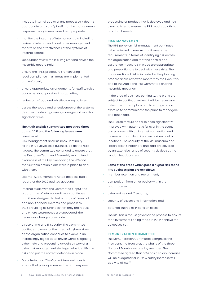- instigate internal audits of any processes it deems appropriate and satisfy itself that the management response to any issues raised is appropriate;
- monitor the integrity of internal controls, including review of internal audit and other management reports on the effectiveness of the systems of internal control;
- keep under review the Risk Register and advise the Assembly accordingly;
- ensure the RPS's procedures for ensuring legal compliance in all areas are implemented and enforced;
- ensure appropriate arrangements for staff to raise concerns about possible improprieties;
- review anti-fraud and whistleblowing policies;
- assess the scope and effectiveness of the systems designed to identify, assess, manage and monitor significant risks.

### **The Audit and Risk Committee met three times during 2021 and the following issues were considered:**

- Risk Management and Business Continuity. As the RPS evolves as a business, so do the risks it faces. The committee continued to ensure that the Executive Team and Assembly maintained awareness of the key risks facing the RPS and that suitable action plans were in place to deal with them.
- External Audit. Members noted the post-audit report for the 2020 audited accounts.
- Internal Audit. With the Committee's input, the programme of internal audit work continues and it was designed to test a range of financial and non-financial systems and processes, thus providing assurances that they are robust, and where weaknesses are uncovered, the necessary changes are made.
- Cyber-crime and IT Security. The Committee continues to monitor the threat of cyber-crime as the organisation continues to evolve in an increasingly digital data-driven world. Mitigating cyber risks and preventing attacks by way of a cyber risk management strategy helps identify the risks and put the correct defences in place.
- Data Protection. The Committee continues to ensure that privacy is embedded into any new

processing or product that is deployed and has clear policies to ensure the RPS reacts quickly to any data breach.

#### **RISK MANAGEMENT**

The RPS policy on risk management continues to be reviewed to ensure that it meets the requirements in terms of identifying risk across the organisation and that the control and assurance measures in place are appropriate and proportionate to deal with these risks. The consideration of risk is included in the planning process and is reviewed monthly by the Executive and at the Audit and Risk Committee and the Assembly meetings.

In the area of business continuity, the plans are subject to continual review. It will be necessary to test the current plans and to engage on an exercise to communicate the plans to managers and other staff.

The IT architecture has also been significantly improved with automatic failover in the event of a problem with an internet connection and increased capacity to improve resilience at all locations. The security of the RPS museum and library assets, hardware and staff are covered by an extensive range of security devices at the London headquarters.

### **Some of the areas which pose a higher risk to the RPS business plan are as follows:**

- member retention and recruitment;
- competition from other bodies within the pharmacy sector;
- cyber-crime and IT security;
- security of assets and information; and
- potential increase in pension costs.

The RPS has a robust governance process to ensure that investments being made in 2022 achieve the objectives set.

### **REMUNERATION COMMITTEE**

The Remuneration Committee comprises the President, the Treasurer, the Chairs of the three National Boards and one lay member. The Committee agreed that a 2% basic salary increase will be budgeted for 2022. A salary increase will apply to all staff.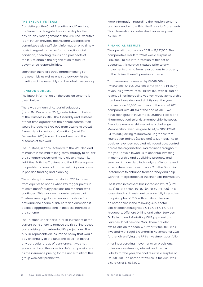#### **THE EXECUTIVE TEAM**

Consisting of the Chief Executive and Directors, the Team has delegated responsibility for the day-to-day management of the RPS. The Executive Team in turn provides the Assembly, boards and committees with sufficient information on a timely basis in regard to the performance, financial condition, operating results and prospects of the RPS to enable the organisation to fulfil its governance responsibilities.

Each year, there are three formal meetings of the Assembly as well as one strategy day. Further meetings of the Assembly can be called if necessary.

#### **PENSION SCHEME**

The latest information on the pension scheme is given below:

There was a triennial Actuarial Valuation, (as at 31st December 2018), undertaken on behalf of the Trustees in 2019. The Assembly and Trustees at that time agreed that the annual contribution would increase to £700,000 from 2021 to mid-2025. A new triennial Actuarial Valuation, (as at 31st December 2021) is now due and we await the outcome of this work.

The Trustees, in consultation with the RPS, decided to maintain the mid to long-term strategy to de-risk the scheme's assets and more closely match its liabilities. Both the Trustees and the RPS recognise the problems financial market volatility can cause in pension funding and planning.

The strategy implemented during 2011 to move from equities to bonds when key trigger points in relative bond/equity positions are reached, was continued. This was continuously reviewed at Trustees meetings based on sound advice from actuarial and financial advisors and amended if decided appropriate and in the best interests of the Scheme.

The Trustees undertook a 'buy-in' in respect of the current pensioners to remove the risk of increased costs arising from extended life projections. The 'buy-in' represents an insurance policy that would pay an annuity to the fund and does not favour any particular group of pensioners. It was not economic to do the same for deferred pensioners as the insurance pricing for the uncertainty of this group was cost prohibitive.

More information regarding the Pension Scheme can be found in note 19 to the Financial Statements. This information includes disclosures required by FRS102.

#### **FINANCIAL RESULTS**

The operating surplus for 2021 is £1,297,000. The comparative result for 2020 was a surplus of £869,000. To aid interpretation of this set of accounts, this surplus is stated prior to any movements arising from revaluations to property or the defined benefit pension scheme.

Total revenues increased by £1,648,000 from £23,646,000 to £25,294,000 in the year. Publishing revenues grew by 3% to £18,525,000 with all major revenue lines increasing year-on-year. Membership numbers have declined slightly over the year, and we have 38,630 members at the end of 2021 compared with 40,194 at the end of 2020. We have seen growth in Member, Student, Fellow and Pharmaceutical Scientist membership, however, Associate membership remains a challenge. Membership revenues grew to £4,697,000 (2020: £4,623,000) owing to improved upgrades from Foundation Trainee (Associate) to Member. These positive revenues, coupled with good cost control across the organisation, maintained throughout the year, have allowed us to continue investing in membership and publishing products and services. A more detailed analysis of income and expenditure is included in note 2 to the Financial Statements to enhance transparency and help with the interpretation of the financial information.

The Ruffer investment has increased by 8% (2020: 14.3%) to £8,547,000 in 2021 (2020: £7,921,000). This long-standing investment already fully integrates the principles of ESG, with equity exclusions on companies in the following sub-sector classifications: Integrated Oil & Gas, Oil: Crude Producers, Offshore Drilling and Other Services, Oil Refining and Marketing, Oil Equipment and Services, Pipelines and Coal. There are also exclusions on tobacco. A further £2,000,000 was invested with Legal & General in November of 2021, further diversifying the RPS's investment portfolio.

After incorporating movements on provisions, gains on investments, interest and the tax liability for the year, the final result is a surplus of £2,008,000. The comparative result for 2020 was a surplus of £1,638,000.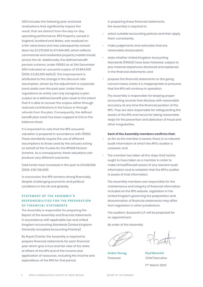2021 includes the following year-end book revaluations that significantly impact the result, that are distinct from the day-to-day operating performance. RPS Property, owned in England, Scotland and Wales, was revalued on a fair value basis and was subsequently revised down by £3,270,000 to £17,444,000, which reflects commercial and residential property market trends across the UK. Additionally, the defined benefit pension scheme, under FRS102 as at 31st December 2021 indicated an actuarial surplus of £3,854,000 (2020: £2,142,000 deficit). This improvement is attributed to the change in the discount rate assumption, driven by the adjustment in corporate bond yields over the past year. Under these regulations an entity can only recognise a plan surplus as a defined benefit plan asset to the extent that it is able to recover the surplus either through reduced contributions in the future or through refunds from the plan. Consequently, the defined benefit plan asset has been capped at £nil on the balance sheet.

It is important to note that the RPS actuarial valuation is prepared in accordance with FRS102. These standards require the use of different assumptions to those used by the actuary acting on behalf of the Trustee for the RPSGB Pension Scheme. As a consequence, these valuations can produce very different outcomes.

Total funds have increased in the year to £31,108,000 (2020: £30,738,000).

In conclusion, the RPS remains strong financially, despite challenging economic and political conditions in the UK and globally.

### **STATEMENT OF THE ASSEMBLY'S RESPONSIBILITIES FOR THE PREPARATION OF FINANCIAL STATEMENTS**

The Assembly is responsible for preparing the Report of the Assembly and financial statements in accordance with applicable law and United Kingdom Accounting Standards (United Kingdom Generally Accepted Accounting Practice).

By Royal Charter, the Assembly is required to prepare financial statements for each financial year which give a true and fair view of the state of affairs of the RPS and of the income and application of resources, including the income and expenditure, of the RPS for that period.

In preparing these financial statements, the Assembly is required to:

- select suitable accounting policies and then apply them consistently;
- make judgements and estimates that are reasonable and prudent;
- state whether United Kingdom Accounting Standards (FRS102) have been followed, subject to any material departures disclosed and explained in the financial statements; and
- prepare the financial statements on the going concern basis unless it is inappropriate to presume that the RPS will continue in operation.

The Assembly is responsible for keeping proper accounting records that disclose with reasonable accuracy at any time the financial position of the RPS. They are also responsible for safeguarding the assets of the RPS and hence for taking reasonable steps for the prevention and detection of fraud and other irregularities.

#### **Each of the Assembly members confirms that:**

- so far as the member is aware, there is no relevant audit information of which the RPS's auditor is unaware; and
- The member has taken all the steps that he/she ought to have taken as a member in order to make himself/herself aware of any relevant audit information and to establish that the RPS's auditor is aware of that information.

The Assembly members are responsible for the maintenance and integrity of financial information included on the RPS website. Legislation in the United Kingdom governing the preparation and dissemination of financial statements may differ from legislation in other jurisdictions.

The auditors, Buzzacott LLP, will be proposed for re-appointment.

*By order of the Assembly*

**Andre Yeung** Treasurer

*17th March 2022*

**Paul Bennett** Chief Executive

17th March 2022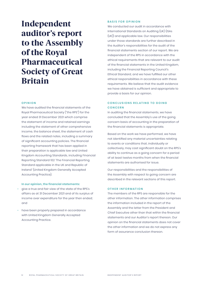# Independent auditor's report to the Assembly of the Royal Pharmaceutical Society of Great Britain

#### **OPINION**

We have audited the financial statements of the Royal Pharmaceutical Society ("the RPS") for the year ended 31 December 2021 which comprise the statement of income and retained earnings including the statement of other comprehensive income, the balance sheet, the statement of cash flows and the related notes, including a summary of significant accounting policies. The financial reporting framework that has been applied in their preparation is applicable law and United Kingdom Accounting Standards, including Financial Reporting Standard 102 'The Financial Reporting Standard applicable in the UK and Republic of Ireland' (United Kingdom Generally Accepted Accounting Practice).

#### **In our opinion, the financial statements:**

- give a true and fair view of the state of the RPS's affairs as at 31 December 2021 and of its surplus of income over expenditure for the year then ended; and
- have been properly prepared in accordance with United Kingdom Generally Accepted Accounting Practice.

#### **BASIS FOR OPINION**

We conducted our audit in accordance with International Standards on Auditing (UK) (ISAs (UK)) and applicable law. Our responsibilities under those standards are further described in the Auditor's responsibilities for the audit of the financial statements section of our report. We are independent of the RPS in accordance with the ethical requirements that are relevant to our audit of the financial statements in the United Kingdom, including the Financial Reporting Council's Ethical Standard, and we have fulfilled our other ethical responsibilities in accordance with these requirements. We believe that the audit evidence we have obtained is sufficient and appropriate to provide a basis for our opinion.

### **CONCLUSIONS RELATING TO GOING CONCERN**

In auditing the financial statements, we have concluded that the Assembly's use of the going concern basis of accounting in the preparation of the financial statements is appropriate.

Based on the work we have performed, we have not identified any material uncertainties relating to events or conditions that, individually or collectively, may cast significant doubt on the RPS's ability to continue as a going concern for a period of at least twelve months from when the financial statements are authorised for issue.

Our responsibilities and the responsibilities of the Assembly with respect to going concern are described in the relevant sections of this report.

### **OTHER INFORMATION**

The members of the RPS are responsible for the other information. The other information comprises the information included in the report of the Assembly and the letter from the President and Chief Executive other than that within the financial statements and our Auditor's report thereon. Our opinion on the financial statements does not cover the other information and we do not express any form of assurance conclusion thereon.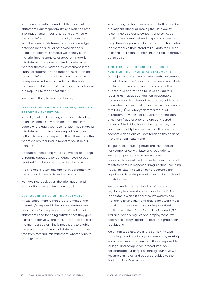In connection with our audit of the financial statements, our responsibility is to read the other information and, in doing so, consider whether the other information is materially inconsistent with the financial statements or our knowledge obtained in the audit or otherwise appears to be materially misstated. If we identify such material inconsistencies or apparent material misstatements, we are required to determine whether there is a material misstatement in the financial statements or a material misstatement of the other information. If, based on the work we have performed, we conclude that there is a material misstatement of this other information, we are required to report that fact.

We have nothing to report in this regard.

### **MATTERS ON WHICH WE ARE REQUIRED TO REPORT BY EXCEPTION**

In the light of the knowledge and understanding of the RPS and its environment obtained in the course of the audit, we have not identified material misstatements in the annual report. We have nothing to report in respect of the following matters where we are required to report to you if, in our opinion:

- adequate accounting records have not been kept, or returns adequate for our audit have not been received from branches not visited by us; or
- the financial statements are not in agreement with the accounting records and returns; or
- we have not received all the information and explanations we require for our audit.

#### **RESPONSIBILITIES OF THE ASSEMBLY**

As explained more fully in the statement of the Assembly's responsibilities, RPS's members are responsible for the preparation of the financial statements and for being satisfied that they give a true and fair view, and for such internal control as the members determine is necessary to enable the preparation of financial statements that are free from material misstatement, whether due to fraud or error.

In preparing the financial statements, the members are responsible for assessing the RPS's ability to continue as a going concern, disclosing, as applicable, matters related to going concern and using the going concern basis of accounting unless the members either intend to liquidate the RPS or to cease operations, or have no realistic alternative but to do so.

### **AUDITOR'S RESPONSIBILITIES FOR THE AUDIT OF THE FINANCIAL STATEMENTS**

Our objectives are to obtain reasonable assurance about whether the financial statements as a whole are free from material misstatement, whether due to fraud or error, and to issue an Auditor's report that includes our opinion. Reasonable assurance is a high level of assurance, but is not a guarantee that an audit conducted in accordance with ISAs (UK) will always detect a material misstatement when it exists. Misstatements can arise from fraud or error and are considered material if, individually or in the aggregate, they could reasonably be expected to influence the economic decisions of users taken on the basis of these financial statements.

Irregularities, including fraud, are instances of non-compliance with laws and regulations. We design procedures in line with our responsibilities, outlined above, to detect material misstatements in respect of irregularities, including fraud. The extent to which our procedures are capable of detecting irregularities, including fraud, is detailed below:

- We obtained an understanding of the legal and regulatory frameworks applicable to the RPS and the sector in which it operates. We determined that the following laws and regulations were most significant: the Financial Reporting Standard applicable in the UK and Republic of Ireland (FRS 102), anti-bribery regulations, employment law, health and safety legislation and data protection regulations.
- We understood how the RPS is complying with those legal and regulatory frameworks by making enquiries of management and those responsible for legal and compliance procedures. We corroborated our enquiries through our review of Assembly minutes and papers provided to the Audit and Risk Committee.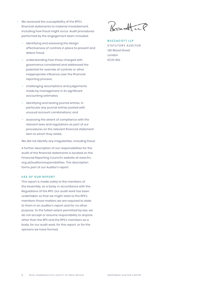- We assessed the susceptibility of the RPS's financial statements to material misstatement, including how fraud might occur. Audit procedures performed by the engagement team included:
	- identifying and assessing the design effectiveness of controls in place to prevent and detect fraud;
	- understanding how those charged with governance considered and addressed the potential for override of controls or other inappropriate influence over the financial reporting process;
	- challenging assumptions and judgements made by management in its significant accounting estimates;
	- identifying and testing journal entries, in particular any journal entries posted with unusual account combinations; and
	- assessing the extent of compliance with the relevant laws and regulations as part of our procedures on the relevant financial statement item to which they relate.

We did not identify any irregularities, including fraud.

A further description of our responsibilities for the audit of the financial statements is located on the Financial Reporting Council's website at www.frc. org.uk/auditorsresponsibilities. This description forms part of our Auditor's report.

#### **USE OF OUR REPORT**

This report is made solely to the members of the Assembly, as a body, in accordance with the Regulations of the RPS. Our audit work has been undertaken so that we might state to the RPS's members those matters we are required to state to them in an auditor's report and for no other purpose. To the fullest extent permitted by law, we do not accept or assume responsibility to anyone other than the RPS and the RPS's members as a body, for our audit work, for this report, or for the opinions we have formed.

Borracht

**BUZZACOTT LLP** STATUTORY AUDITOR 130 Wood Street London EC2V 6DL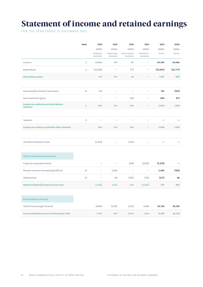# Statement of income and retained earnings

FOR THE YEAR ENDED 31 DECEMBER 2021

|                                                          | <b>Note</b>    | 2021                     | 2021                     | 2021                     | 2021                     | 2021      | 2020      |
|----------------------------------------------------------|----------------|--------------------------|--------------------------|--------------------------|--------------------------|-----------|-----------|
|                                                          |                | £000s                    | £000s                    | £000s                    | £000s                    | £000s     | £000s     |
|                                                          |                | GENERAL<br>RESERVE       | PENSIONS<br>RESERVE      | INVESTMENT<br>RESERVE    | PROPERTY<br>RESERVE      | TOTAL     | TOTAL     |
| Income                                                   | $\overline{2}$ | 24,683                   | 474                      | 137                      | $\overline{\phantom{0}}$ | 25,294    | 23,646    |
| Expenditure                                              | $\overline{2}$ | (23,920)                 | L.                       | (77)                     |                          | (23, 997) | (22, 777) |
| <b>Operating surplus</b>                                 |                | 763                      | 474                      | 60                       |                          | 1,297     | 869       |
|                                                          |                |                          |                          |                          |                          |           |           |
| Decrease/(increase) in provisions                        | 14             | 103                      | $\overline{\phantom{0}}$ | $\overline{\phantom{0}}$ |                          | 103       | (103)     |
| Net investment gains                                     |                |                          |                          | 608                      |                          | 608       | 872       |
| <b>Surplus on ordinary activities before</b><br>taxation | 4              | 866                      | 474                      | 668                      |                          | 2,008     | 1,638     |
|                                                          |                |                          |                          |                          |                          |           |           |
| Taxation                                                 | 5              |                          | $\overline{\phantom{a}}$ |                          |                          |           |           |
| Surplus on ordinary activities after taxation            |                | 866                      | 474                      | 668                      |                          | 2,008     | 1,638     |
|                                                          |                |                          |                          |                          |                          |           |           |
| Transfers between funds                                  |                | (2,304)                  |                          | 2,304                    |                          |           |           |
|                                                          |                |                          |                          |                          |                          |           |           |
| Other comprehensive income                               |                |                          |                          |                          |                          |           |           |
| Property revaluation (loss)                              |                |                          |                          | (441)                    | (2,829)                  | (3, 270)  |           |
| Pension scheme actuarial gain/(loss)                     | 19             | $\overline{\phantom{0}}$ | 2,009                    | ۰                        | $\overline{\phantom{0}}$ | 2,009     | (783)     |
| Deferred tax                                             | 18             | -                        | 149                      | (350)                    | (176)                    | (377)     | 98        |
| Retained (deficit)/surplus for the year                  |                | (1, 438)                 | 2,632                    | 2,181                    | (3,005)                  | 370       | 953       |
|                                                          |                |                          |                          |                          |                          |           |           |
| <b>Reconciliation of funds</b>                           |                |                          |                          |                          |                          |           |           |
| Total funds brought forward                              |                | 18,869                   | (2,142)                  | 9,322                    | 4,689                    | 30,738    | 29,785    |
| Accumulated funds as at 31 December 2021                 |                | 17,431                   | 490                      | 11,503                   | 1,684                    | 31,108    | 30,738    |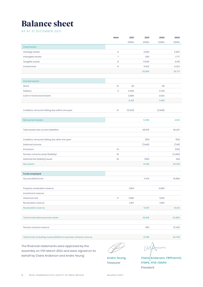### Balance sheet

AS AT 31 DECEMBER 2021

|                                                                 | Note           | 2021    | 2021                     | 2020    | 2020    |
|-----------------------------------------------------------------|----------------|---------|--------------------------|---------|---------|
|                                                                 |                | £000s   | £000s                    | £000s   | £000s   |
| <b>Fixed Assets</b>                                             |                |         |                          |         |         |
| Heritage Assets                                                 | $\,6\,$        |         | 3,500                    |         | 3,500   |
| Intangible assets                                               | $\overline{7}$ |         | 939                      |         | 1,777   |
| Tangible assets                                                 | 8              |         | 17,649                   |         | 21,118  |
| Investments                                                     | $\mathsf g$    |         | 11,502                   |         | 9,322   |
|                                                                 |                |         | 33,590                   |         | 35,717  |
|                                                                 |                |         |                          |         |         |
| <b>Current assets</b>                                           |                |         |                          |         |         |
| Stock                                                           | 10             | 39      |                          | 99      |         |
| Debtors                                                         | $\mathbf{11}$  | 4,494   |                          | 4,729   |         |
| Cash in hand and at bank                                        |                | 3,886   |                          | 2,630   |         |
|                                                                 |                | 8,419   |                          | 7,458   |         |
|                                                                 |                |         |                          |         |         |
| Creditors: amounts falling due within one year                  | 12             | (3,033) |                          | (2,848) |         |
|                                                                 |                |         |                          |         |         |
| <b>Net current assets</b>                                       |                |         | 5,386                    |         | 4,610   |
|                                                                 |                |         |                          |         |         |
| Total assets less current liabilities                           |                |         | 38,976                   |         | 40,327  |
|                                                                 |                |         |                          |         |         |
| Creditors: amounts falling due after one year                   |                |         | (50)                     |         | (50)    |
| Deferred income                                                 |                |         | (7,649)                  |         | (7,161) |
| Provisions                                                      | 14             |         | $\overline{\phantom{a}}$ |         | (103)   |
| Pension scheme asset (liability)                                | 19             |         | $\overline{\phantom{a}}$ |         | (2,483) |
| Deferred tax (liability) asset                                  | 18             |         | (169)                    |         | 208     |
| <b>Net assets</b>                                               |                |         | 31,108                   |         | 30,738  |
|                                                                 |                |         |                          |         |         |
| Funds employed                                                  |                |         |                          |         |         |
| Accumulated fund                                                |                |         | 17,431                   |         | 18,869  |
|                                                                 |                |         |                          |         |         |
| Property revaluation reserve                                    |                | 1,684   |                          | 4,689   |         |
| Investment reserve:                                             |                |         |                          |         |         |
| <b>Historical cost</b>                                          | 17             | 7,686   |                          | 7,630   |         |
| <b>Revaluation reserve</b>                                      |                | 3,817   |                          | 1,693   |         |
| <b>Revaluation reserve</b>                                      |                |         | 13,187                   |         | 14,012  |
|                                                                 |                |         |                          |         |         |
| Total funds before pension asset                                |                |         | 30,618                   |         | 32,880  |
|                                                                 |                |         |                          |         |         |
| Pension scheme reserve                                          |                |         | 490                      |         | (2,142) |
|                                                                 |                |         |                          |         |         |
| Total funds including surplus/deficit on pension scheme reserve |                |         | 31,108                   |         | 30,738  |

The financial statements were approved by the Assembly on 17th March 2022 and were signed on its behalf by Claire Anderson and Andre Yeung: **Andre Yeung**

Treasurer

 $(M)$ in

**Claire Anderson, FRPharmS, FFRPS, FFIP, FRSPH** President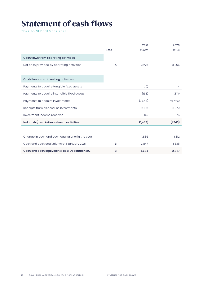# Statement of cash flows

YEAR TO 31 DECEMBER 2021

|                                                 |             | 2021     | 2020     |
|-------------------------------------------------|-------------|----------|----------|
|                                                 | <b>Note</b> | £000s    | £000s    |
| Cash flows from operating activities            |             |          |          |
| Net cash provided by operating activities       | A           | 3,275    | 3,255    |
|                                                 |             |          |          |
| Cash flows from investing activities            |             |          |          |
| Payments to acquire tangible fixed assets       |             | (10)     |          |
| Payments to acquire intangible fixed assets     |             | (133)    | (371)    |
| Payments to acquire investments                 |             | (7,544)  | (5,626)  |
| Receipts from disposal of investments           |             | 6,106    | 3,979    |
| Investment income received                      |             | 142      | 75       |
| Net cash (used in) investment activities        |             | (1, 439) | (1, 943) |
|                                                 |             |          |          |
| Change in cash and cash equivalents in the year |             | 1,836    | 1,312    |
| Cash and cash equivalents at I January 2021     | B           | 2,847    | 1,535    |
| Cash and cash equivalents at 31 December 2021   | B           | 4,683    | 2,847    |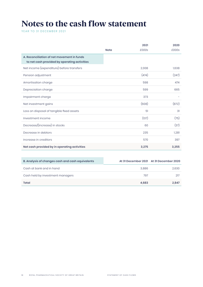# Notes to the cash flow statement

YEAR TO 31 DECEMBER 2021

|                                                                                            |             | 2021  | 2020  |
|--------------------------------------------------------------------------------------------|-------------|-------|-------|
|                                                                                            | <b>Note</b> | £000s | £000s |
| A. Reconciliation of net movement in funds<br>to net cash provided by operating activities |             |       |       |
| Net income (expenditure) before transfers                                                  |             | 2,008 | 1,638 |
| Pension adjustment                                                                         |             | (474) | (247) |
| Amortisation charge                                                                        |             | 598   | 474   |
| Depreciation charge                                                                        |             | 599   | 665   |
| Impairment charge                                                                          |             | 373   |       |
| Net investment gains                                                                       |             | (608) | (872) |
| Loss on disposal of tangible fixed assets                                                  |             | 51    | 31    |
| Investment income                                                                          |             | (137) | (75)  |
| Decrease/(increase) in stocks                                                              |             | 60    | (37)  |
| Decrease in debtors                                                                        |             | 235   | 1,281 |
| Increase in creditors                                                                      |             | 570   | 397   |
| Net cash provided by in operating activities                                               |             | 3,275 | 3,255 |

| B. Analysis of changes cash and cash equivalents |       | At 31 December 2021 At 31 December 2020 |
|--------------------------------------------------|-------|-----------------------------------------|
| Cash at bank and in hand                         | 3.886 | 2,630                                   |
| Cash held by investment managers                 | 797   |                                         |
| Total                                            | 4.683 | 2,847                                   |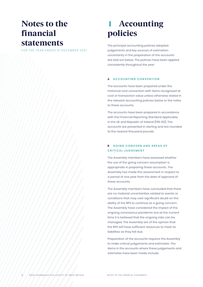### Notes to the financial statements

FOR THE YEAR ENDED 31 DECEMBER 2021

# **Accounting** policies

The principal accounting policies adopted, judgements and key sources of estimation uncertainty in the preparation of the accounts are laid out below. The policies have been applied consistently throughout the year.

### **a  ACCOUNTING CONVENTION**

The accounts have been prepared under the historical cost convention with items recognised at cost or transaction value unless otherwise stated in the relevant accounting policies below or the notes to these accounts.

The accounts have been prepared in accordance with the Financial Reporting Standard applicable in the UK and Republic of Ireland (FRS 102). The accounts are presented in sterling and are rounded to the nearest thousand pounds.

### **B** GOING CONCERN AND AREAS OF **CRITICAL JUDGEMENT**

The Assembly members have assessed whether the use of the going concern assumption is appropriate in preparing these accounts. The Assembly has made this assessment in respect to a period of one year from the date of approval of these accounts.

The Assembly members have concluded that there are no material uncertainties related to events or conditions that may cast significant doubt on the ability of the RPS to continue as a going concern. The Assembly have considered the impact of the ongoing coronavirus pandemic but at the current time it is believed that the ongoing risks can be managed. The Assembly are of the opinion that the RPS will have sufficient resources to meet its liabilities as they fall due.

Preparation of the accounts requires the Assembly to make critical judgements and estimates. The items in the accounts where these judgements and estimates have been made include: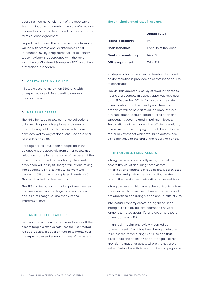Licensing income. An element of the reportable licensing income is a combination of deferred and accrued income, as determined by the contractual terms of each agreement.

Property valuations. The properties were formally valued with professional assistance as at 31 December 2021 by a registered valuer at Pelham Lease Advisory in accordance with the Royal Institution of Chartered Surveyors (RICS) valuation professional standards.

### **C** CAPITALISATION POLICY

All assets costing more than £500 and with an expected useful life exceeding one year are capitalised.

### **d  HERITAGE ASSETS**

The RPS's heritage assets comprise collections of books, drug jars, silver plates and general artefacts. Any additions to the collection are now received by way of donations. See note 8 for further information.

Heritage assets have been recognised in the balance sheet separately from other assets at a valuation that reflects the value of the asset at the time it was acquired by the charity. The assets have been valued by St George Valuations, taking into account full market value. The work was begun in 2015 and was completed in early 2016. This was treated as deemed cost.

The RPS carries out an annual impairment review to assess whether a heritage asset is impaired and, if so, to recognise and measure the impairment loss.

### **e  TANGIBLE FIXED ASSETS**

Depreciation is calculated in order to write off the cost of tangible fixed assets, less their estimated residual values, in equal annual instalments over the expected useful economic lives of the assets.

#### **The principal annual rates in use are:**

| <b>Freehold property</b>   | 2%                     |
|----------------------------|------------------------|
| <b>Short leasehold</b>     | Over life of the lease |
| <b>Plant and machinery</b> | 5%-20%                 |
| Office equipment           | $10\% - 33\%$          |

No depreciation is provided on freehold land and no depreciation is provided on assets in the course of construction.

The RPS has adopted a policy of revaluation for its freehold properties. This asset class was revalued as at 31 December 2021 to fair value at the date of revaluation. In subsequent years, freehold properties will be held at revalued amounts less any subsequent accumulated depreciation and subsequent accumulated impairment losses. Revaluations will be made with sufficient regularity to ensure that the carrying amount does not differ materially from that which would be determined using fair value at the end of the reporting period.

### **f  INTANGIBLE FIXED ASSETS**

Intangible assets are initially recognised at the cost to the RPS of acquiring these assets. Amortisation of intangible fixed assets is calculated using the straight-line method to allocate the cost of the assets over their estimated useful lives.

Intangible assets which are technological in nature are assumed to have useful lives of five years and are amortised accordingly at an annual rate of 20%.

Intellectual Property assets, categorised under intangible fixed assets, are deemed to have a longer estimated useful life, and are amortised at an annual rate of 10%.

An annual impairment review is carried out for each asset after it has been brought into use to re-assess its remaining useful life and that it still meets the definition of an intangible asset. Provision is made for assets where the net present value of future benefits is less than the carrying value.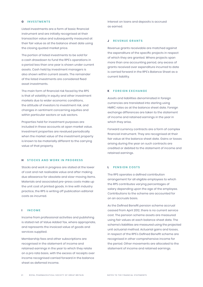### **g  INVESTMENTS**

Listed investments are a form of basic financial instrument and are initially recognised at their transaction value and subsequently measured at their fair value as at the balance sheet date using the closing quoted market price.

The portion of listed investments to be sold for a cash drawdown to fund the RPS's operations in a period less than one year is shown under current assets. Cash held by investment managers is also shown within current assets. The remainder of the listed investments are considered fixed asset investments.

The main form of financial risk faced by the RPS is that of volatility in equity and other investment markets due to wider economic conditions, the attitude of investors to investment risk, and changes in sentiment concerning equities and within particular sectors or sub sectors.

Properties held for investment purposes are included in these accounts at open market value. Investment properties are revalued periodically when the market value of the investment property is known to be materially different to the carrying value of that property.

### **h  STOCKS AND WORK IN PROGRESS**

Stocks and work in progress are stated at the lower of cost and net realisable value and after making due allowance for obsolete and slow-moving items. Materials and associated pre-press costs make up the unit cost of printed goods. In line with industry practice, the RPS is writing off publication editorial costs as incurred.

### **i  INCOME**

Income from professional activities and publishing is stated net of Value Added Tax, where appropriate, and represents the invoiced value of goods and services supplied.

Membership fees and other subscriptions are recognised in the statement of income and retained earnings in the year to which they relate on a pro rata basis, with the excess of receipts over income recognised carried forward in the balance sheet as deferred income.

Interest on loans and deposits is accrued as earned.

#### *J* REVENUE GRANTS

Revenue grants receivable are matched against the expenditure of the specific projects in respect of which they are granted. Where projects span more than one accounting period, any excess of grants received over expenditure incurred to date is carried forward in the RPS's Balance Sheet as a current liability.

#### **k  FOREIGN EXCHANGE**

Assets and liabilities denominated in foreign currencies are translated into sterling using HMRC rates as at the balance sheet date. Foreign exchange differences are taken to the statement of income and retained earnings in the year in which they arise.

Forward currency contracts are a form of complex financial instrument. They are recognised at their fair value at the balance sheet date. Gains or losses arising during the year on such contracts are credited or debited to the statement of income and retained earnings.

### **l  PENSION COSTS**

The RPS operates a defined contribution arrangement for all eligible employees to which the RPS contributes varying percentages of salary depending upon the age of the employee. Contributions to the scheme are accounted for on an accruals basis.

As the Defined Benefit pension scheme accrual ceased from April 2012, there is no current service cost. The pension scheme assets are measured using fair values at each balance sheet date. The scheme's liabilities are measured using the projected unit actuarial method. Actuarial gains and losses, in respect of the RPS's Defined Benefit scheme are recognised in other comprehensive income for the period. Other movements are allocated to the statement of income and retained earnings.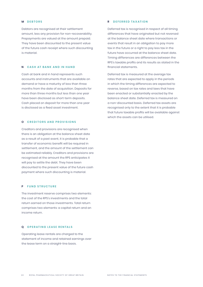#### **m  DEBTORS**

Debtors are recognised at their settlement amount, less any provision for non-recoverability. Prepayments are valued at the amount prepaid. They have been discounted to the present value of the future cash receipt where such discounting is material.

### **n  CASH AT BANK AND IN HAND**

Cash at bank and in hand represents such accounts and instruments that are available on demand or have a maturity of less than three months from the date of acquisition. Deposits for more than three months but less than one year have been disclosed as short-term deposits. Cash placed on deposit for more than one year is disclosed as a fixed asset investment.

### **o  CREDITORS AND PROVISIONS**

Creditors and provisions are recognised when there is an obligation at the balance sheet date as a result of a past event, it is probable that a transfer of economic benefit will be required in settlement, and the amount of the settlement can be estimated reliably. Creditors and provisions are recognised at the amount the RPS anticipates it will pay to settle the debt. They have been discounted to the present value of the future cash payment where such discounting is material.

### **p  FUND STRUCTURE**

The investment reserve comprises two elements: the cost of the RPS's investments and the total return earned on those investments. Total return comprises two elements: a capital return and an income return.

### **q  OPERATING LEASE RENTALS**

Operating lease rentals are charged to the statement of income and retained earnings over the lease term on a straight-line basis.

#### **r  DEFERRED TAXATION**

Deferred tax is recognised in respect of all timing differences that have originated but not reversed at the balance sheet date where transactions or events that result in an obligation to pay more tax in the future or a right to pay less tax in the future have occurred at the balance sheet date. Timing differences are differences between the RPS's taxable profits and its results as stated in the financial statements.

Deferred tax is measured at the average tax rates that are expected to apply in the periods in which the timing differences are expected to reverse, based on tax rates and laws that have been enacted or substantially enacted by the balance sheet date. Deferred tax is measured on a non-discounted basis. Deferred tax assets are recognised only to the extent that it is probable that future taxable profits will be available against which the assets can be utilised.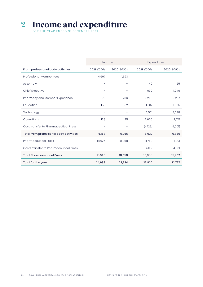# 2 Income and expenditure

FOR THE YEAR ENDED 31 DECEMBER 2021

|                                         | Income                   |                          |            | Expenditure |
|-----------------------------------------|--------------------------|--------------------------|------------|-------------|
| From professional body activities       | 2021 £000s               | 2020 £000s               | 2021 £000s | 2020 £000s  |
| Professional Member fees                | 4,697                    | 4,623                    |            |             |
| Assembly                                | $\overline{\phantom{a}}$ | $\overline{\phantom{a}}$ | 49         | 55          |
| <b>Chief Executive</b>                  |                          | $\overline{\phantom{0}}$ | 1,030      | 1,046       |
| Pharmacy and Member Experience          | 170                      | 236                      | 3,258      | 3,287       |
| Education                               | 1,153                    | 382                      | 1,607      | 1,005       |
| Technology                              |                          | $\overline{\phantom{0}}$ | 2,561      | 2,228       |
| Operations                              | 138                      | 25                       | 3,656      | 3,215       |
| Cost transfer to Pharmaceutical Press   | ۰                        | $\overline{\phantom{m}}$ | (4,129)    | (4,001)     |
| Total from professional body activities | 6,158                    | 5,266                    | 8,032      | 6,835       |
| <b>Pharmaceutical Press</b>             | 18,525                   | 18,058                   | 11,759     | 11,901      |
| Costs transfer to Pharmaceutical Press  |                          |                          | 4,129      | 4,001       |
| <b>Total Pharmaceutical Press</b>       | 18,525                   | 18,058                   | 15,888     | 15,902      |
| Total for the year                      | 24,683                   | 23,324                   | 23,920     | 22,737      |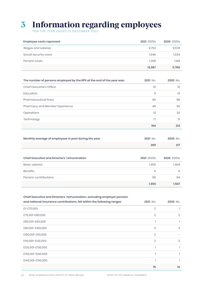### 3 Information regarding employees

FOR THE YEAR ENDED 31 DECEMBER 2021

| Employee costs represent | 2021 £000s | 2020 £000s |
|--------------------------|------------|------------|
| Wages and salaries       | 9,753      | 9,578      |
| Social security costs    | 1.046      | 1.034      |
| Pension costs            | 1,268      | 1,148      |
|                          | 12,067     | 11,760     |

| The number of persons employed by the RPS at the end of the year was: | 2021 No. | 2020 No. |
|-----------------------------------------------------------------------|----------|----------|
| Chief Executive's Office                                              | 10       | 10       |
| Education                                                             | n        | 13       |
| <b>Pharmaceutical Press</b>                                           | 95       | 98       |
| Pharmacy and Member Experience                                        | 48       | 50       |
| Operations                                                            | 13       | 20       |
| Technology                                                            | 17       | 21       |
|                                                                       | 194      | 212      |

| Monthly average of employees in post during the year | 2021 No. | 2020 No. |
|------------------------------------------------------|----------|----------|
|                                                      | 209      |          |

| Chief Executive and Directors' remuneration | 2021 £000s | 2020 £000s |
|---------------------------------------------|------------|------------|
| Basic salaries                              | 1,455      | 1,404      |
| <b>Benefits</b>                             | 5          | Я          |
| Pension contributions                       | 95         | 94         |
|                                             | 1.555      | 1.507      |

Chief Executive and Directors' remuneration, excluding employer pension

| and national insurance contributions, fell within the following ranges | 2021 No.       | 2020 No.       |
|------------------------------------------------------------------------|----------------|----------------|
| £1-£70,000                                                             | $\overline{2}$ |                |
| £70,001-£80,000                                                        | $\overline{2}$ | 2              |
| £80,001-£90,000                                                        |                |                |
| £90,001-£100,000                                                       | 3              | $\overline{4}$ |
| £100,001-£110,000                                                      | $\overline{2}$ |                |
| £110,001-£120,000                                                      | $\overline{2}$ | 3              |
| £120,001-£130,000                                                      |                |                |
| £130,001-£140,000                                                      |                |                |
| £140,001-£150,000                                                      |                |                |
|                                                                        | 15             | 14             |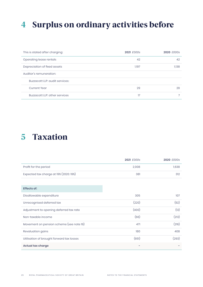# 4 Surplus on ordinary activities before

| This is stated after charging: | 2021 £000s | 2020 £000s |
|--------------------------------|------------|------------|
| Operating lease rentals        | 42         | 42         |
| Depreciation of fixed assets   | 1,197      | 1.138      |
| Auditor's remuneration:        |            |            |
| Buzzacott LLP: audit services: |            |            |
| <b>Current Year</b>            | 29         | 29         |
| Buzzacott LLP: other services  | 17         |            |

### 5 Taxation

|                                        | 2021 £000s | 2020 £000s |
|----------------------------------------|------------|------------|
| Profit for the period                  | 2.008      | 1.638      |
| Expected tax charge at 19% (2020: 19%) | 381        | 312        |

| <b>Effects of:</b> |  |
|--------------------|--|
|                    |  |

| Disallowable expenditure                  | 305   | 107   |
|-------------------------------------------|-------|-------|
| Unrecognised deferred tax                 | (220) | (92)  |
| Adjustment to opening deferred tax rate   | (400) | (13)  |
| Non-taxable income                        | (66)  | (213) |
| Movement on pension scheme (see note 19)  | 471   | (216) |
| Revaluation gains                         | 180   | 408   |
| Utilisation of brought forward tax losses | (651) | (293) |
| Actual tax charge                         |       |       |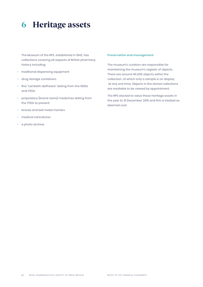## 6 Heritage assets

The Museum of the RPS, established in 1842, has collections covering all aspects of British pharmacy history including:

- traditional dispensing equipment
- drug storage containers
- fine "Lambeth delftware" dating from the 1600s and 1700s
- proprietary (brand name) medicines dating from the 1700s to present
- bronze and bell metal mortars
- medical caricatures
- a photo archive.

### **Preservation and management**

The museum's curators are responsible for maintaining the museum's register of objects. There are around 45,000 objects within the collection, of which only a sample is on display at any one time. Objects in the stored collections are available to be viewed by appointment.

The RPS elected to value these heritage assets in the year to 31 December 2015 and this is treated as deemed cost.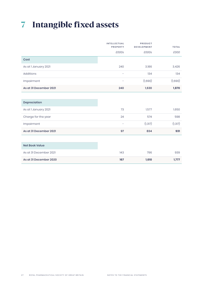# 7 Intangible fixed assets

|                        | INTELLECTUAL<br>PROPERTY | PRODUCT<br><b>DEVELOPMENT</b> | <b>TOTAL</b> |
|------------------------|--------------------------|-------------------------------|--------------|
|                        | £000s                    | £000s                         | £000         |
| Cost                   |                          |                               |              |
| As at I January 2021   | 240                      | 3,186                         | 3,426        |
| Additions              | $\overline{\phantom{a}}$ | 134                           | 134          |
| Impairment             | $\overline{\phantom{a}}$ | (1,690)                       | (1,690)      |
| As at 31 December 2021 | 240                      | 1,630                         | 1,870        |
|                        |                          |                               |              |
| Depreciation           |                          |                               |              |
| As at I January 2021   | 73                       | 1,577                         | 1,650        |
| Charge for the year    | 24                       | 574                           | 598          |
| Impairment             | -                        | (1, 317)                      | (1, 317)     |
| As at 31 December 2021 | 97                       | 834                           | 931          |
|                        |                          |                               |              |
| <b>Net Book Value</b>  |                          |                               |              |
| As at 31 December 2021 | 143                      | 796                           | 939          |
| As at 31 December 2020 | 167                      | 1,610                         | 1,777        |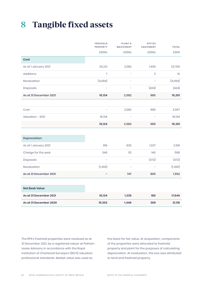# 8 Tangible fixed assets

|                        | <b>FREEHOLD</b><br>PROPERTY | <b>PLANT &amp;</b><br>MACHINERY | OFFICE<br>EQUIPMENT      | <b>TOTAL</b> |
|------------------------|-----------------------------|---------------------------------|--------------------------|--------------|
|                        | £000s                       | £000s                           | £000s                    | £000         |
| Cost                   |                             |                                 |                          |              |
| As at I January 2021   | 20,221                      | 2,082                           | 1,406                    | 23,709       |
| <b>Additions</b>       | $\overline{7}$              |                                 | 3                        | 10           |
| Revaluation            | (4,094)                     |                                 | $\overline{\phantom{a}}$ | (4,094)      |
| Disposals              |                             | L                               | (424)                    | (424)        |
| As at 31 December 2021 | 16,134                      | 2,082                           | 985                      | 19,201       |
|                        |                             |                                 |                          |              |
| Cost                   |                             | 2,082                           | 985                      | 3,067        |
| Valuation - 2021       | 16,134                      | $\overline{\phantom{0}}$        | $\overline{\phantom{0}}$ | 16,134       |
|                        | 16,134                      | 2,082                           | 985                      | 19,201       |
|                        |                             |                                 |                          |              |
| Depreciation           |                             |                                 |                          |              |
| As at I January 2021   | 919                         | 635                             | 1,037                    | 2,591        |
| Charge for the year    | 346                         | 112                             | 140                      | 598          |
| Disposals              | L,                          | $\overline{a}$                  | (372)                    | (372)        |
| Revaluation            | (1, 265)                    | -                               | L,                       | (1, 265)     |
| As at 31 December 2021 | L,                          | 747                             | 805                      | 1,552        |
|                        |                             |                                 |                          |              |
| <b>Net Book Value</b>  |                             |                                 |                          |              |
| As at 31 December 2021 | 16,134                      | 1,335                           | 180                      | 17,649       |
| As at 31 December 2020 | 19,303                      | 1,446                           | 369                      | 21,118       |
|                        |                             |                                 |                          |              |

The RPS's freehold properties were revalued as at 31 December 2021, by a registered valuer at Pelham Lease Advisory in accordance with the Royal Institution of Chartered Surveyors (RICS) valuation professional standards. Market value was used as

the basis for fair value. At acquisition, components of the properties were allocated to freehold property and plant for the purposes of calculating depreciation. At revaluation, the loss was attributed to land and freehold property.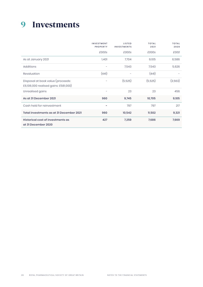# 9 Investments

|                                                                           | <b>INVESTMENT</b><br><b>PROPERTY</b> | <b>LISTED</b><br><b>INVESTMENTS</b> | <b>TOTAL</b><br>2021 | <b>TOTAL</b><br>2020 |
|---------------------------------------------------------------------------|--------------------------------------|-------------------------------------|----------------------|----------------------|
|                                                                           | £000s                                | £000s                               | £000s                | £000                 |
| As at January 2021                                                        | 1,401                                | 7,704                               | 9,105                | 6,586                |
| <b>Additions</b>                                                          | -                                    | 7,543                               | 7,543                | 5,626                |
| Revaluation                                                               | (441)                                |                                     | (441)                |                      |
| Disposal at book value (proceeds:<br>£6,106,000 realised gains: £581,000) |                                      | (5,525)                             | (5,525)              | (3,563)              |
| Unrealised gains                                                          | -                                    | 23                                  | 23                   | 456                  |
| As at 31 December 2021                                                    | 960                                  | 9,745                               | 10,705               | 9,105                |
| Cash held for reinvestment                                                |                                      | 797                                 | 797                  | 217                  |
| Total investments as at 31 December 2021                                  | 960                                  | 10,542                              | 11,502               | 9,321                |
| Historical cost of investments as<br>at 31 December 2020                  | 427                                  | 7,259                               | 7,686                | 7,669                |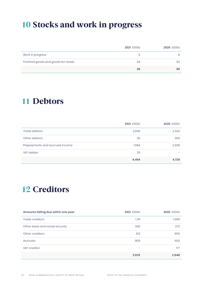# 10 Stocks and work in progress

|                                     | 2021 £000s | 2020 £000s |
|-------------------------------------|------------|------------|
| Work in progress                    | ৯          | 6          |
| Finished goods and goods for resale | 34         | 93         |
|                                     | 39         | 99         |

### 11 Debtors

|                                | 2021 £000s | 2020 £000s |
|--------------------------------|------------|------------|
| Trade debtors                  | 2,659      | 2,342      |
| Other debtors                  | 30         | 359        |
| Prepayments and accrued income | 1,594      | 2,028      |
| VAT debtor                     | 211        |            |
|                                | 4,494      | 4,729      |

# 12 Creditors

| Amounts falling due within one year | 2021 £000s               | 2020 £000s |
|-------------------------------------|--------------------------|------------|
| Trade creditors                     | 1,311                    | 1,099      |
| Other taxes and social security     | 300                      | 272        |
| Other creditors                     | 513                      | 650        |
| Accruals                            | 909                      | 650        |
| VAT creditor                        | $\overline{\phantom{0}}$ | 177        |
|                                     | 3,033                    | 2,848      |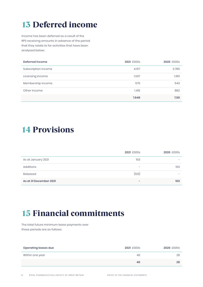# 13 Deferred income

Income has been deferred as a result of the RPS receiving amounts in advance of the period that they relate to for activities that have been analysed below:

| Deferred income     | 2021 £000s | 2020 £000s |
|---------------------|------------|------------|
| Subscription income | 4,157      | 3,785      |
| Licensing income    | 1,507      | 1,951      |
| Membership income   | 570        | 543        |
| Other income        | 1,415      | 882        |
|                     | 7,649      | 7,161      |

### 14 Provisions

|                        | 2021 £000s | 2020 £000s |
|------------------------|------------|------------|
| As at January 2021     | 103        |            |
| Additions              | -          | 103        |
| Released               | (103)      |            |
| As at 31 December 2021 | -          | 103        |

# 15 Financial commitments

The total future minimum lease payments over these periods are as follows:

| Operating leases due | 2021 £000s | 2020 £000s |
|----------------------|------------|------------|
| Within one year      | 40         | 28         |
|                      | 40         | 28         |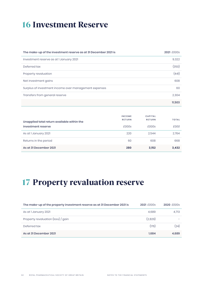# 16 Investment Reserve

| The make-up of the investment reserve as at 31 December 2021 is | 2021 £000s |
|-----------------------------------------------------------------|------------|
| Investment reserve as at I January 2021                         | 9,322      |
| Deferred tax                                                    | (350)      |
| Property revaluation                                            | (441)      |
| Net investment gains                                            | 608        |
| Surplus of investment income over management expenses           | 60         |
| Transfers from general reserve                                  | 2,304      |
|                                                                 | 11,503     |

| Unapplied total return available within the | <b>INCOME</b><br><b>RETURN</b> | <b>CAPITAL</b><br><b>RETURN</b> | <b>TOTAL</b> |
|---------------------------------------------|--------------------------------|---------------------------------|--------------|
| investment reserve                          | £000s                          | £000s                           | £000         |
| As at I January 2021                        | 220                            | 2.544                           | 2.764        |
| Returns in the period                       | 60                             | 608                             | 668          |
| As at 31 December 2021                      | 280                            | 3,152                           | 3,432        |

# 17 Property revaluation reserve

| The make-up of the property investment reserve as at 31 December 2021 is | 2021 £000s | 2020 £000s |
|--------------------------------------------------------------------------|------------|------------|
| As at I January 2021                                                     | 4.689      | 4.713      |
| Property revaluation (loss) / gain                                       | (2,829)    |            |
| Deferred tax                                                             | (176)      | (24)       |
| As at 31 December 2021                                                   | 1,684      | 4,689      |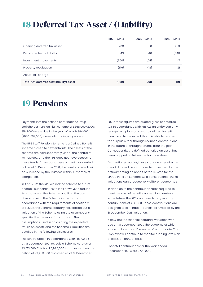# 18 Deferred Tax Asset / (Liability)

|                                          | 2021 £000s               | 2020 £000s               | 2019 £000s |
|------------------------------------------|--------------------------|--------------------------|------------|
| Opening deferred tax asset               | 208                      | 110                      | 283        |
| Pension scheme liability                 | 149                      | 140                      | (241)      |
| Investment movements                     | (350)                    | (24)                     | 47         |
| Property revaluation                     | (176)                    | (18)                     | 21         |
| Actual tax charge                        | $\overline{\phantom{a}}$ | $\overline{\phantom{m}}$ |            |
| Total net deferred tax (liability) asset | (169)                    | 208                      | 110        |

### 19 Pensions

Payments into the defined contribution/Group Stakeholder Pension Plan scheme of £568,000 (2020: £547,000) were due in the year, of which £94,000 (2020: £92,000) were outstanding at year end.

The RPS Staff Pension Scheme is a Defined Benefit scheme closed to new entrants. The assets of the scheme are held separately, under the control of its Trustees, and the RPS does not have access to these funds. An actuarial assessment was carried out as at 31 December 2021, the results of which will be published by the Trustees within 15 months of completion.

In April 2012, the RPS closed the scheme to future accrual, but continues to look at ways to reduce its exposure to the Scheme and limit the cost of maintaining the Scheme in the future. In accordance with the requirements of section 28 of FRS102, the Scheme actuary has carried out a valuation of the Scheme using the assumptions specified by the reporting standard. The assumptions used in calculating the expected return on assets and the Scheme's liabilities are detailed in the following disclosures.

The RPS valuation in accordance with FRS102 as at 31 December 2021 reveals a Scheme surplus of £3,513,000. This is a £5,996,000 improvement on the deficit of £2,483,000 disclosed as at 31 December

2020; these figures are quoted gross of deferred tax. In accordance with FRS102, an entity can only recognise a plan surplus as a defined benefit plan asset to the extent that it is able to recover the surplus either through reduced contributions in the future or through refunds from the plan. Consequently, the defined benefit plan asset has been capped at £nil on the balance sheet.

As mentioned earlier, these standards require the use of different assumptions to those used by the actuary acting on behalf of the Trustee for the RPSGB Pension Scheme. As a consequence, these valuations can produce very different outcomes.

In addition to the contribution rates required to meet the cost of benefits earned by members in the future, the RPS continues to pay monthly contributions of £58,333. These contributions are designed to eliminate the shortfall revealed by the 31 December 2018 valuation.

A new Trustee triennial actuarial valuation was due on 31 December 2021. The outcome of which is due no later than 15 months after that date. The Employer will continue to monitor funding levels on, at least, an annual basis.

The total contributions for the year ended 31 December 2021 were £700,000.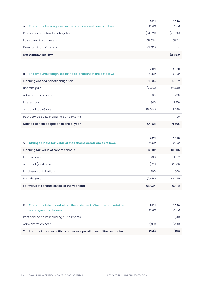|                                                                 | 2021      | 2020     |
|-----------------------------------------------------------------|-----------|----------|
| The amounts recognised in the balance sheet are as follows<br>A | £000      | £000     |
| Present value of funded obligations                             | (64, 521) | (71,595) |
| Fair value of plan assets                                       | 68,034    | 69,112   |
| Derecognition of surplus                                        | (3,513)   |          |
| Net surplus/(liability)                                         |           | (2, 483) |

|                                                                 | 2021    | 2020    |
|-----------------------------------------------------------------|---------|---------|
| The amounts recognised in the balance sheet are as follows<br>B | £000    | £000    |
| Opening defined benefit obligation                              | 71,595  | 65,052  |
| Benefits paid                                                   | (2,474) | (2,441) |
| Administration costs                                            | 199     | 299     |
| Interest cost                                                   | 845     | 1,216   |
| Actuarial (gain) loss                                           | (5,644) | 7.449   |
| Past service costs including curtailments                       |         | 20      |
| Defined benefit obligation at end of year                       | 64,521  | 71.595  |

|                                                                     | 2021    | 2020    |
|---------------------------------------------------------------------|---------|---------|
| Changes in the fair value of the scheme assets are as follows<br>C. | £000    | £000    |
| Opening fair value of scheme assets                                 | 69,112  | 63,105  |
| Interest income                                                     | 818     | 1,182   |
| Actuarial (loss) gain                                               | (122)   | 6,666   |
| Employer contributions                                              | 700     | 600     |
| Benefits paid                                                       | (2,474) | (2,441) |
| Fair value of scheme assets at the year end                         | 68,034  | 69,112  |

| D | The amounts included within the statement of income and retained<br>earnings are as follows | 2021<br>£000 | 2020<br>fOOO |
|---|---------------------------------------------------------------------------------------------|--------------|--------------|
|   | Past service costs including curtailments                                                   |              | (20)         |
|   | Administration cost                                                                         | (199)        | (299)        |
|   | Total amount charged within surplus as operating activities before tax                      | (199)        | (319)        |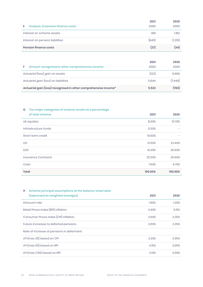|                                         | 2021  | 2020    |
|-----------------------------------------|-------|---------|
| Analysis of pension finance costs<br>Е. | £000  | £000    |
| Interest on scheme assets               | 818   | 1.182   |
| Interest on pension liabilities         | (845) | (1,216) |
| <b>Pension finance costs</b>            | (27)  | (34)    |

| Amount recognised in other comprehensive income<br>F.           | 2021<br>£000 | 2020<br>£000 |
|-----------------------------------------------------------------|--------------|--------------|
| Actuarial (loss) gain on assets                                 | (122)        | 6,666        |
| Actuarial gain (loss) on liabilities                            | 5.644        | (7.449)      |
| Actuarial gain (loss) recognised in other comprehensive income* | 5.522        | (783)        |

### G The major categories of scheme assets as a percentage

| of total scheme      | 2021    | 2020                     |
|----------------------|---------|--------------------------|
| UK equities          | 8.00%   | 10.70%                   |
| Infrastructure funds | 5.50%   | -                        |
| Short term credit    | 10.60%  | $\overline{\phantom{0}}$ |
| LDI                  | 21.50%  | 22.40%                   |
| <b>DGF</b>           | 14.30%  | 26.60%                   |
| Insurance Contracts  | 32.50%  | 35.60%                   |
| Cash                 | 7.60%   | 4.70%                    |
| Total                | 100.00% | 100.00%                  |

### H Scheme principal assumptions at the balance sheet date (expressed as weighted averages) 2021 2020

| leybressed da Meidriced diverdiges)        | ∠∪∠ı  | ∠∪∠∪  |
|--------------------------------------------|-------|-------|
| Discount rate                              | 1.80% | 1.20% |
| Retail Prices Index (RPI) inflation        | 3.40% | 3.15% |
| Consumer Prices Index (CPI) inflation      | 2.60% | 2.35% |
| Future increases to deferred pensions      | 2.60% | 2.35% |
| Rate of increase of pensions in deferment: |       |       |
| LPI (max 3%) based on CPI                  | 2.20% | 2.05% |
| LPI (max 5%) based on RPI                  | 3.15% | 3.05% |
| LPI (max 2.5%) based on RPI                | 2.10% | 2.00% |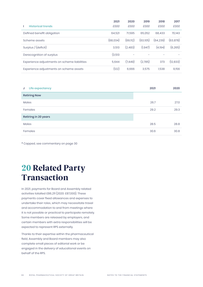| 2021     | 2020     | 2019     | 2018     | 2017      |
|----------|----------|----------|----------|-----------|
| £000     | £000     | £000     | £000     | £000      |
| 64.521   | 71.595   | 65.052   | 68.433   | 70.143    |
| (68.034) | (69.112) | (63,105) | (64.239) | (63, 878) |
| 3.513    | (2.483)  | (1.947)  | (4,194)  | (6, 265)  |
| (3,513)  | -        |          |          |           |
| 5.644    | (7.449)  | (2,785)  | 373      | (12, 833) |
| (122)    | 6.666    | 3.575    | 1.538    | 9,156     |
|          |          |          |          |           |

| Life expectancy<br>J | 2021 | 2020 |
|----------------------|------|------|
| <b>Retiring Now</b>  |      |      |
| Males                | 26.7 | 27.0 |
| Females              | 29.2 | 29.3 |
| Retiring in 20 years |      |      |
| Males                | 28.5 | 28.8 |
| Females              | 30.6 | 30.8 |

\* Capped, see commentary on page 30

# 20 Related Party Transaction

In 2021, payments for Board and Assembly related activities totalled £86,211 (2020: £87,000). These payments cover fixed allowances and expenses to undertake their roles, which may necessitate travel and accommodation to and from meetings where it is not possible or practical to participate remotely. Some members are released by employers, and certain members with extra responsibilities will be expected to represent RPS externally.

Thanks to their expertise within the pharmaceutical field, Assembly and Board members may also complete small pieces of editorial work or be engaged in the delivery of educational events on behalf of the RPS.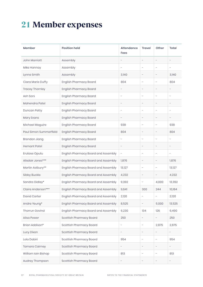# 21 Member expenses

| Member                 | <b>Position held</b>                | <b>Attendance</b><br>Fees | <b>Travel</b>            | Other                    | Total                    |
|------------------------|-------------------------------------|---------------------------|--------------------------|--------------------------|--------------------------|
| <b>John Marriott</b>   | Assembly                            | $\qquad \qquad -$         | $\overline{\phantom{a}}$ | $\qquad \qquad -$        | -                        |
| Mike Hannay            | Assembly                            | ÷,                        | $\qquad \qquad -$        | ÷,                       | ÷                        |
| Lynne Smith            | Assembly                            | 3,140                     | -                        | $\qquad \qquad -$        | 3,140                    |
| Ciara Marie Duffy      | <b>English Pharmacy Board</b>       | 804                       | $\qquad \qquad -$        | ÷,                       | 804                      |
| Tracey Thornley        | <b>English Pharmacy Board</b>       | $\qquad \qquad -$         | $\qquad \qquad -$        | $\qquad \qquad -$        | -                        |
| Ash Soni               | <b>English Pharmacy Board</b>       | $\overline{\phantom{a}}$  | $\qquad \qquad -$        | $\overline{\phantom{0}}$ | ÷                        |
| Mahendra Patel         | <b>English Pharmacy Board</b>       | $\overline{\phantom{0}}$  | $\qquad \qquad -$        | $\qquad \qquad -$        | -                        |
| Duncan Petty           | <b>English Pharmacy Board</b>       | $\overline{\phantom{a}}$  | $\overline{a}$           | $\qquad \qquad -$        | ۰                        |
| Mary Evans             | <b>English Pharmacy Board</b>       | $\qquad \qquad -$         | $\qquad \qquad -$        | $\overline{\phantom{0}}$ | -                        |
| Michael Maguire        | <b>English Pharmacy Board</b>       | 938                       | $\overline{\phantom{a}}$ | $\qquad \qquad -$        | 938                      |
| Paul Simon Summerfield | <b>English Pharmacy Board</b>       | 804                       | $\qquad \qquad -$        | $\qquad \qquad -$        | 804                      |
| <b>Brendon Jiang</b>   | <b>English Pharmacy Board</b>       | $\qquad \qquad -$         | $\qquad \qquad -$        | $\overline{\phantom{0}}$ | $\overline{a}$           |
| <b>Hemant Patel</b>    | <b>English Pharmacy Board</b>       | $\qquad \qquad -$         | $\qquad \qquad -$        | $\qquad \qquad -$        | $\overline{\phantom{a}}$ |
| Erutase Oputu          | English Pharmacy Board and Assembly | ÷                         | $\overline{\phantom{a}}$ | $\qquad \qquad -$        | $\qquad \qquad -$        |
| Alisdair Jones***      | English Pharmacy Board and Assembly | 1,876                     | $\overline{\phantom{a}}$ | $\qquad \qquad -$        | 1,876                    |
| Martin Astbury**       | English Pharmacy Board and Assembly | 13,127                    | $\overline{\phantom{a}}$ | $\overline{\phantom{0}}$ | 13,127                   |
| Sibby Buckle           | English Pharmacy Board and Assembly | 4,232                     | -                        |                          | 4,232                    |
| Sandra Gidley*         | English Pharmacy Board and Assembly | 9,392                     | $\overline{\phantom{0}}$ | 4,000                    | 13,392                   |
| Claire Anderson***     | English Pharmacy Board and Assembly | 9,641                     | 300                      | 244                      | 10,184                   |
| David Carter           | English Pharmacy Board and Assembly | 2,120                     |                          |                          | 2,120                    |
| Andre Yeung*           | English Pharmacy Board and Assembly | 8,525                     | $\overline{\phantom{0}}$ | 5,000                    | 13,525                   |
| Thorrun Govind         | English Pharmacy Board and Assembly | 6,230                     | 134                      | 126                      | 6,490                    |
| Ailsa Power            | Scottish Pharmacy Board             | 250                       | -                        | $\overline{\phantom{a}}$ | 250                      |
| Brian Addison*         | Scottish Pharmacy Board             | $\bar{\phantom{a}}$       | $\overline{\phantom{a}}$ | 2,875                    | 2,875                    |
| Lucy Dixon             | Scottish Pharmacy Board             | $\overline{\phantom{a}}$  | -                        | $\qquad \qquad -$        | $\overline{\phantom{a}}$ |
| Lola Dabiri            | Scottish Pharmacy Board             | 954                       | $\qquad \qquad -$        | $\overline{\phantom{a}}$ | 954                      |
| Tamara Cairney         | Scottish Pharmacy Board             | $\overline{\phantom{a}}$  | -                        | $\overline{\phantom{a}}$ | -                        |
| William Iain Bishop    | Scottish Pharmacy Board             | 813                       | $\overline{\phantom{0}}$ | $\overline{\phantom{a}}$ | 813                      |
| Audrey Thompson        | Scottish Pharmacy Board             | $\overline{\phantom{0}}$  | $\overline{\phantom{0}}$ | $\overline{\phantom{a}}$ | $\overline{\phantom{a}}$ |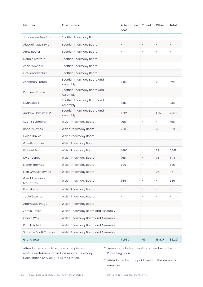| Member                      | <b>Position held</b>                    | <b>Attendance</b><br>Fees | <b>Travel</b>            | Other                    | Total                    |
|-----------------------------|-----------------------------------------|---------------------------|--------------------------|--------------------------|--------------------------|
| Jacqueline Sneddon          | Scottish Pharmacy Board                 | ÷                         | $\overline{\phantom{0}}$ | $\overline{\phantom{0}}$ | -                        |
| Alasdair Macintyre          | Scottish Pharmacy Board                 | $\qquad \qquad -$         | $\overline{\phantom{a}}$ | $\qquad \qquad -$        |                          |
| Anne Boyter                 | Scottish Pharmacy Board                 | $\overline{\phantom{a}}$  | $\overline{\phantom{a}}$ | $\overline{\phantom{0}}$ | -                        |
| Debbie Stafford             | Scottish Pharmacy Board                 | $\overline{a}$            | $\overline{\phantom{a}}$ | $\overline{a}$           | -                        |
| John McAnaw                 | Scottish Pharmacy Board                 | $\overline{a}$            | $\overline{\phantom{a}}$ | $\overline{\phantom{0}}$ | $\overline{\phantom{0}}$ |
| Catriona Sinclair           | Scottish Pharmacy Board                 | $\qquad \qquad -$         | $\overline{\phantom{a}}$ | $\qquad \qquad -$        | $\overline{\phantom{0}}$ |
| Jonathan Burton             | Scottish Pharmacy Board and<br>Assembly | 1,194                     | $\overline{\phantom{a}}$ | 23                       | 1,216                    |
| Kathleen Cowle              | Scottish Pharmacy Board and<br>Assembly |                           |                          |                          | $\overline{\phantom{0}}$ |
| <b>Ewan Black</b>           | Scottish Pharmacy Board and<br>Assembly | 1,313                     | $\overline{\phantom{a}}$ |                          | 1,313                    |
| Andrew Carruthers*          | Scottish Pharmacy Board and<br>Assembly | 1,742                     | $\overline{\phantom{a}}$ | 1,250                    | 2,992                    |
| Sudhir Sehrawat             | Welsh Pharmacy Board                    | 768                       | $\overline{\phantom{a}}$ | $\overline{\phantom{0}}$ | 768                      |
| <b>Robert Davies</b>        | Welsh Pharmacy Board                    | 268                       | $\overline{\phantom{a}}$ | 60                       | 328                      |
| <b>Helen Davies</b>         | Welsh Pharmacy Board                    | ÷,                        | $\overline{\phantom{a}}$ | $\overline{\phantom{0}}$ | $\overline{\phantom{0}}$ |
| Gareth Hughes               | Welsh Pharmacy Board                    | $\overline{\phantom{0}}$  | $\overline{\phantom{a}}$ | $\overline{\phantom{0}}$ | -                        |
| <b>Richard Evans</b>        | Welsh Pharmacy Board                    | 1,992                     | $\overline{\phantom{a}}$ | 79                       | 2,071                    |
| Dylan Jones                 | Welsh Pharmacy Board                    | 768                       | $\overline{\phantom{a}}$ | 75                       | 843                      |
| <b>Elanor Thomas</b>        | Welsh Pharmacy Board                    | 536                       | $\overline{\phantom{a}}$ | $\overline{\phantom{0}}$ | 536                      |
| Eleri Wyn Schiavone         | Welsh Pharmacy Board                    | $\overline{a}$            |                          | 95                       | 95                       |
| Geraldine Mary<br>McCaffrey | Welsh Pharmacy Board                    | 536                       | $\overline{\phantom{a}}$ |                          | 536                      |
| Paul Harris                 | Welsh Pharmacy Board                    | $\qquad \qquad -$         | $\overline{\phantom{a}}$ | $\overline{\phantom{a}}$ | $\overline{\phantom{0}}$ |
| Jodie Gwenter               | Welsh Pharmacy Board                    | $\overline{a}$            | $\overline{\phantom{a}}$ | $\overline{\phantom{0}}$ | ۳                        |
| Adam Mackridge              | Welsh Pharmacy Board                    | $\qquad \qquad -$         | $\qquad \qquad -$        | $\overline{\phantom{0}}$ | $\overline{\phantom{0}}$ |
| Jamie Hayes                 | Welsh Pharmacy Board and Assembly       | $\overline{\phantom{a}}$  | $\qquad \qquad -$        | $\overline{\phantom{0}}$ | ۳                        |
| Cheryl Way                  | Welsh Pharmacy Board and Assembly       | $\overline{\phantom{a}}$  | -                        | -                        | $\overline{\phantom{0}}$ |
| Ruth Mitchell               | Welsh Pharmacy Board and Assembly       | $\overline{\phantom{a}}$  | $\overline{\phantom{a}}$ | $\overline{\phantom{0}}$ | ۳                        |
| Suzanne Scott-Thomas        | Welsh Pharmacy Board and Assembly       | $\overline{\phantom{a}}$  | $\overline{\phantom{a}}$ | $\overline{\phantom{0}}$ | $\overline{\phantom{0}}$ |
| <b>Grand total</b>          |                                         | 71,960                    | 434                      | 13,827                   | 86,221                   |

\* Attendance amounts include other pieces of work undertaken, such as Community Pharmacy Consultation Service (CPCS) facilitation.

- \*\* Amounts include stipend as a member of the Publishing Board.
- \*\*\* Attendance fees are paid direct to the Member's employer.